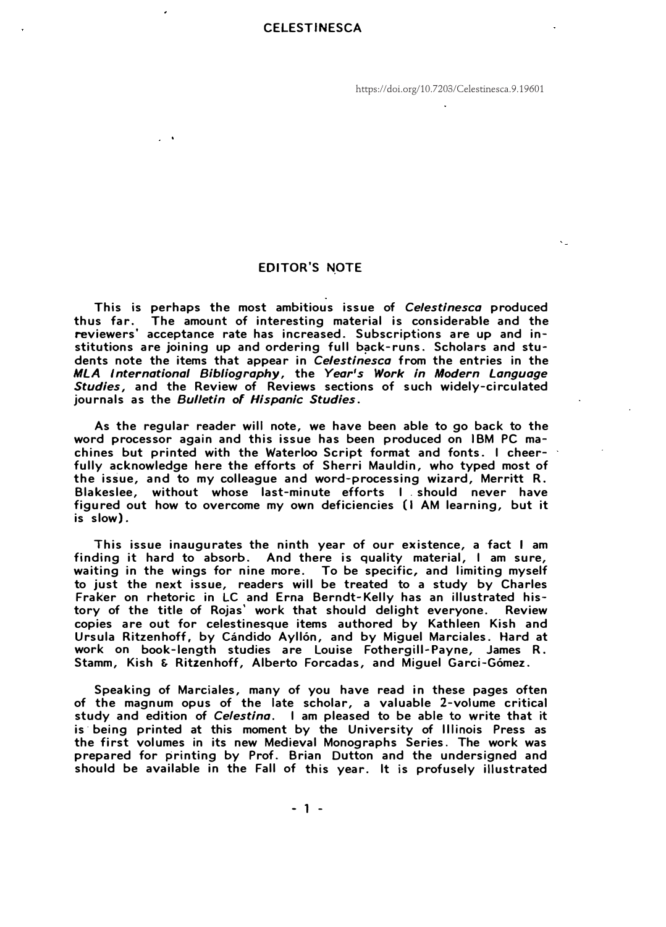https://doi.org/10.7203/Celestinesca.9.19601

## **EDITOR'S NOTE**

**This is perhaps the most ambitious issue of** *Celestinesca* **produced**  The amount of interesting material is considerable and the **reviewers' acceptance rate has increased. Subscriptions are up and institutions are joining up and ordering full back-runs. Scholars and students note the items that appear in** *Celestinesca* **from the entries in the**  *MLA I nternationa/ Bib/iography,* **the** *Year' s Work in Modern Language Studies,* **and the Review of Reviews sections of such widely-circulated journals as the** *Bulletin of Hispanic Studies.* 

**As the regular reader will note, we have been able to go back to the**  word processor again and this issue has been produced on IBM PC ma**chines but printed with the Waterloo Script format and fonts. 1 cheerfully acknowledge here the efforts of Sherri Mauldin, who typed most of the issue, and to my colleague and word-processing wizard, Merritt R. Blakeslee, without whose last-minute efforts 1 . should never have figured out how to overcome my own deficiencies (1 AM learning, but it is slow).** 

**This issue inaugurates the ninth year of our existence, a fact I am finding it hard to absorb. And there is quality material, 1 am sure, waiting in the wings for nine more. To be specific, and limiting myself to just the next issue, readers will be treated to a study by Charles Fraker on rhetoric in LC and Erna Berndt-Kelly has an illustrated history of the title of Rojas' work that should delight everyone. Review copies are out for celestinesque items authored by Kathleen Kish and Ursula Ritzenhoff, by Cándido Ayllón, and by Miguel Marciales. Hard at work on book-length studies are Louise Fothergill-Payne, James R. Stamm, Kish & Ritzenhoff, Alberto Forcadas, and Miguel Garci-Gómez.** 

**Speaking of Marciales, many of you have read in these pages often of the magnum opus of the late scholar, a valuable 2-volume critica! study and edition of** *Celestina.* **1 am pleased to be able to write that it is· being printed at this moment by the University of lllinois Press as the first volumes in its new Medieval Monographs Series. The work was prepared for printing by Prof. Brian Dutton and the undersigned and should be available in the Fall of this year. lt is profusely illustrated**